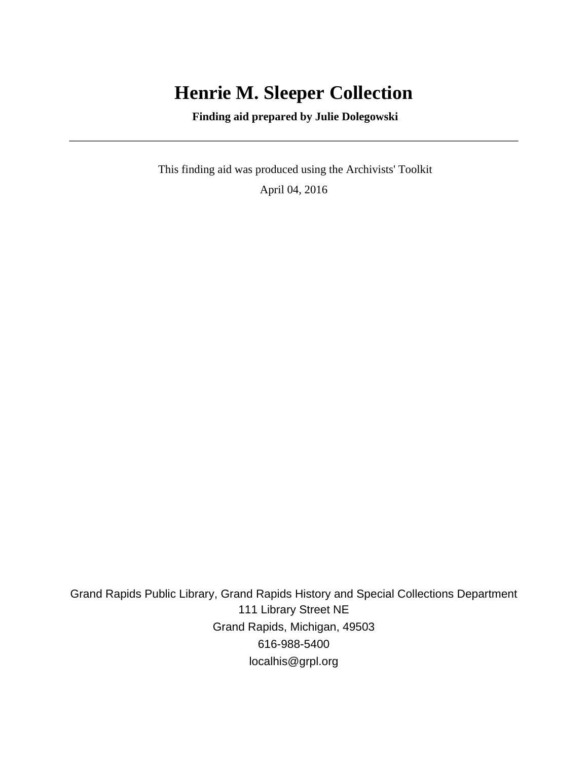# **Henrie M. Sleeper Collection**

 **Finding aid prepared by Julie Dolegowski**

 This finding aid was produced using the Archivists' Toolkit April 04, 2016

Grand Rapids Public Library, Grand Rapids History and Special Collections Department 111 Library Street NE Grand Rapids, Michigan, 49503 616-988-5400 localhis@grpl.org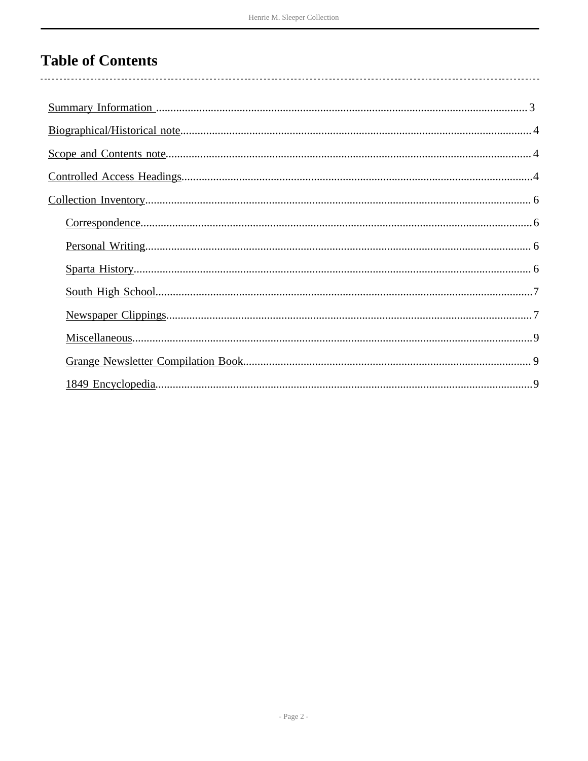# **Table of Contents**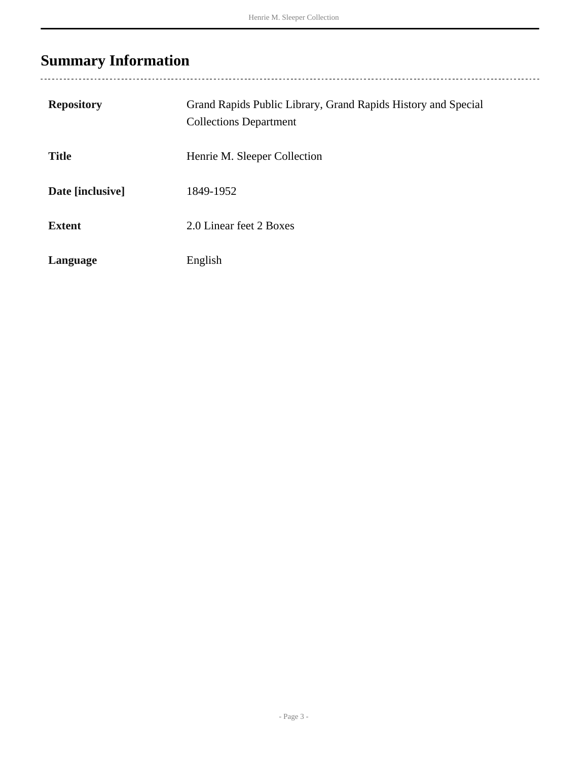# <span id="page-2-0"></span>**Summary Information**

| <b>Repository</b> | Grand Rapids Public Library, Grand Rapids History and Special<br><b>Collections Department</b> |
|-------------------|------------------------------------------------------------------------------------------------|
| <b>Title</b>      | Henrie M. Sleeper Collection                                                                   |
| Date [inclusive]  | 1849-1952                                                                                      |
| <b>Extent</b>     | 2.0 Linear feet 2 Boxes                                                                        |
| Language          | English                                                                                        |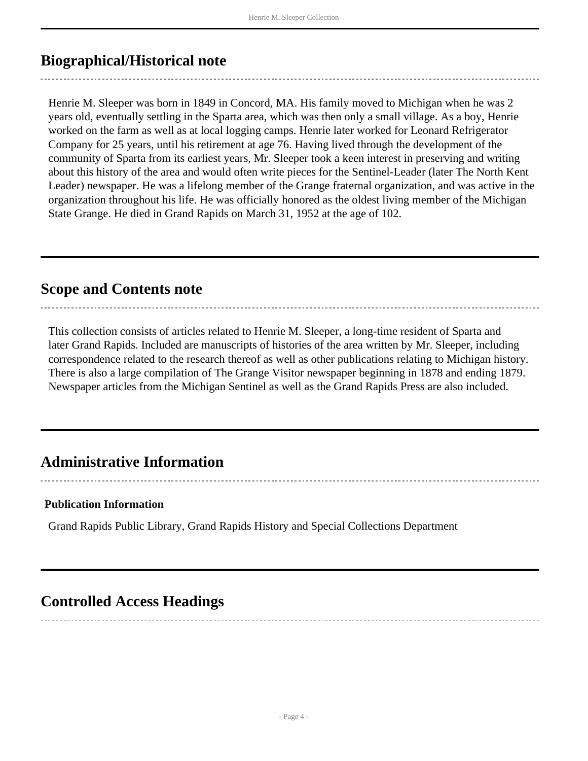## <span id="page-3-0"></span>**Biographical/Historical note**

Henrie M. Sleeper was born in 1849 in Concord, MA. His family moved to Michigan when he was 2 years old, eventually settling in the Sparta area, which was then only a small village. As a boy, Henrie worked on the farm as well as at local logging camps. Henrie later worked for Leonard Refrigerator Company for 25 years, until his retirement at age 76. Having lived through the development of the community of Sparta from its earliest years, Mr. Sleeper took a keen interest in preserving and writing about this history of the area and would often write pieces for the Sentinel-Leader (later The North Kent Leader) newspaper. He was a lifelong member of the Grange fraternal organization, and was active in the organization throughout his life. He was officially honored as the oldest living member of the Michigan State Grange. He died in Grand Rapids on March 31, 1952 at the age of 102.

### <span id="page-3-1"></span>**Scope and Contents note**

This collection consists of articles related to Henrie M. Sleeper, a long-time resident of Sparta and later Grand Rapids. Included are manuscripts of histories of the area written by Mr. Sleeper, including correspondence related to the research thereof as well as other publications relating to Michigan history. There is also a large compilation of The Grange Visitor newspaper beginning in 1878 and ending 1879. Newspaper articles from the Michigan Sentinel as well as the Grand Rapids Press are also included.

## **Administrative Information**

#### **Publication Information**

Grand Rapids Public Library, Grand Rapids History and Special Collections Department

### <span id="page-3-2"></span>**Controlled Access Headings**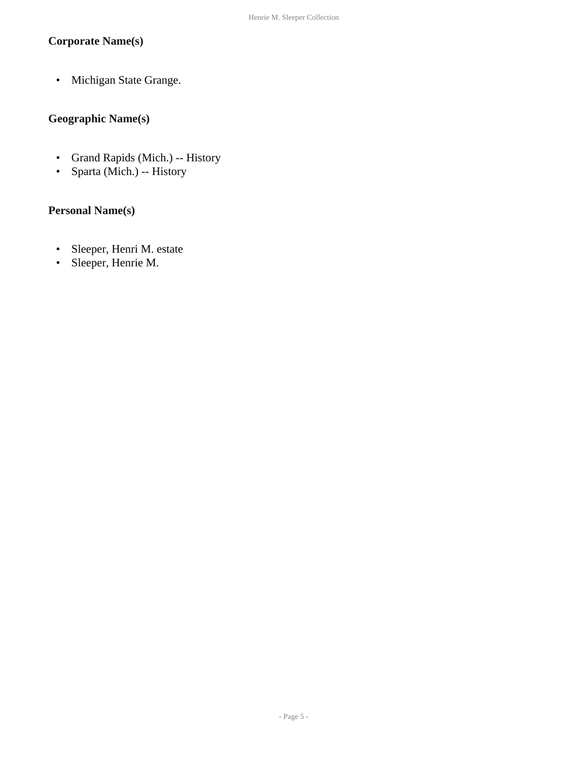#### **Corporate Name(s)**

• Michigan State Grange.

#### **Geographic Name(s)**

- Grand Rapids (Mich.) -- History
- Sparta (Mich.) -- History

#### **Personal Name(s)**

- Sleeper, Henri M. estate
- Sleeper, Henrie M.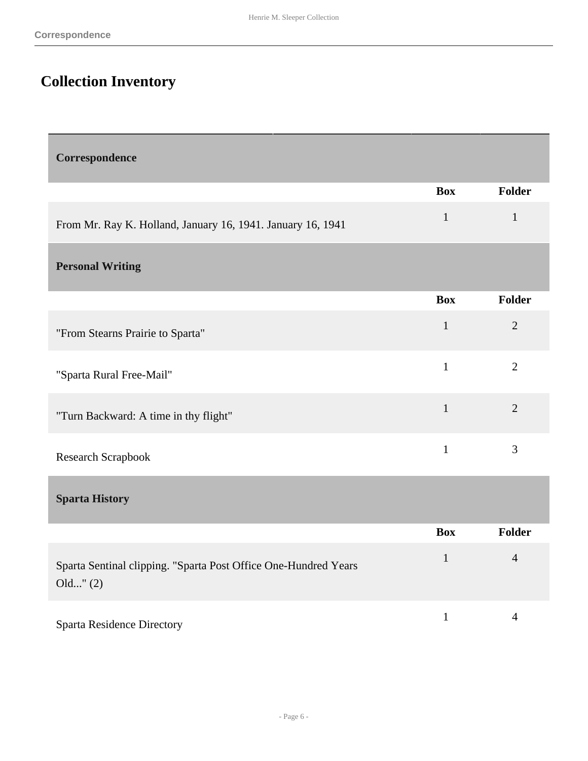## <span id="page-5-0"></span>**Collection Inventory**

<span id="page-5-3"></span><span id="page-5-2"></span><span id="page-5-1"></span>

| Correspondence                                                              |              |                |
|-----------------------------------------------------------------------------|--------------|----------------|
|                                                                             | <b>Box</b>   | <b>Folder</b>  |
| From Mr. Ray K. Holland, January 16, 1941. January 16, 1941                 | $\mathbf{1}$ | $\mathbf{1}$   |
| <b>Personal Writing</b>                                                     |              |                |
|                                                                             | <b>Box</b>   | <b>Folder</b>  |
| "From Stearns Prairie to Sparta"                                            | $\mathbf{1}$ | $\overline{2}$ |
| "Sparta Rural Free-Mail"                                                    | $\mathbf{1}$ | $\overline{2}$ |
| "Turn Backward: A time in thy flight"                                       | $\mathbf{1}$ | $\overline{2}$ |
| Research Scrapbook                                                          | $\mathbf{1}$ | $\mathfrak{Z}$ |
| <b>Sparta History</b>                                                       |              |                |
|                                                                             | <b>Box</b>   | <b>Folder</b>  |
| Sparta Sentinal clipping. "Sparta Post Office One-Hundred Years<br>Old''(2) | $\mathbf{1}$ | $\overline{4}$ |
| <b>Sparta Residence Directory</b>                                           | $\mathbf{1}$ | $\overline{4}$ |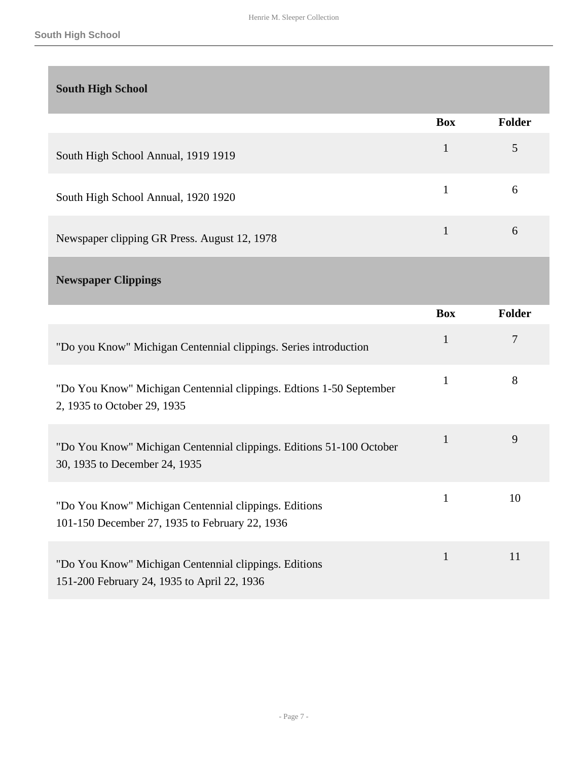<span id="page-6-1"></span><span id="page-6-0"></span>

| <b>South High School</b>                                                                                |              |        |
|---------------------------------------------------------------------------------------------------------|--------------|--------|
|                                                                                                         | <b>Box</b>   | Folder |
| South High School Annual, 1919 1919                                                                     | $\mathbf{1}$ | 5      |
| South High School Annual, 1920 1920                                                                     | $\mathbf{1}$ | 6      |
| Newspaper clipping GR Press. August 12, 1978                                                            | $\mathbf{1}$ | 6      |
| <b>Newspaper Clippings</b>                                                                              |              |        |
|                                                                                                         | <b>Box</b>   | Folder |
| "Do you Know" Michigan Centennial clippings. Series introduction                                        | $\mathbf{1}$ | $\tau$ |
| "Do You Know" Michigan Centennial clippings. Edtions 1-50 September<br>2, 1935 to October 29, 1935      | 1            | 8      |
| "Do You Know" Michigan Centennial clippings. Editions 51-100 October<br>30, 1935 to December 24, 1935   | $\mathbf{1}$ | 9      |
| "Do You Know" Michigan Centennial clippings. Editions<br>101-150 December 27, 1935 to February 22, 1936 | 1            | 10     |
| "Do You Know" Michigan Centennial clippings. Editions<br>151-200 February 24, 1935 to April 22, 1936    | $\mathbf{1}$ | 11     |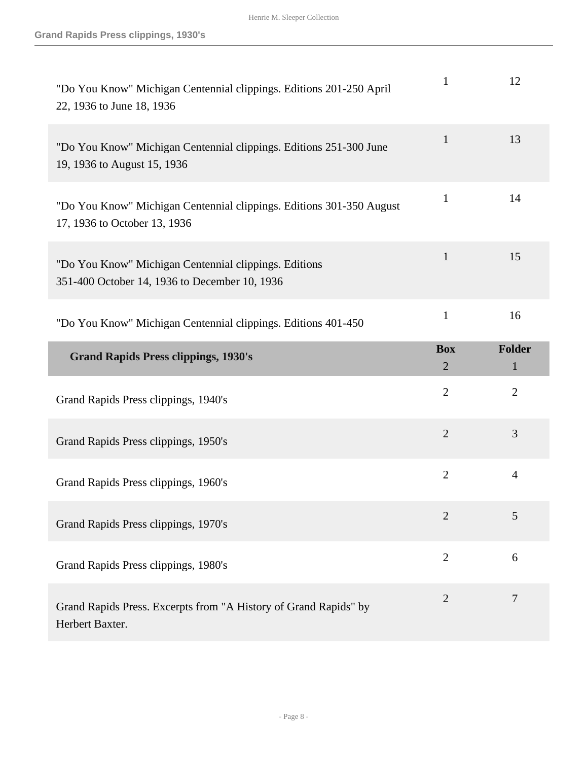| "Do You Know" Michigan Centennial clippings. Editions 201-250 April<br>22, 1936 to June 18, 1936       | $\mathbf{1}$                 | 12                 |
|--------------------------------------------------------------------------------------------------------|------------------------------|--------------------|
| "Do You Know" Michigan Centennial clippings. Editions 251-300 June<br>19, 1936 to August 15, 1936      | $\mathbf{1}$                 | 13                 |
| "Do You Know" Michigan Centennial clippings. Editions 301-350 August<br>17, 1936 to October 13, 1936   | 1                            | 14                 |
| "Do You Know" Michigan Centennial clippings. Editions<br>351-400 October 14, 1936 to December 10, 1936 | $\mathbf{1}$                 | 15                 |
| "Do You Know" Michigan Centennial clippings. Editions 401-450                                          | $\mathbf{1}$                 | 16                 |
|                                                                                                        |                              |                    |
| <b>Grand Rapids Press clippings, 1930's</b>                                                            | <b>Box</b><br>$\overline{2}$ | <b>Folder</b><br>1 |
| Grand Rapids Press clippings, 1940's                                                                   | $\overline{2}$               | $\overline{2}$     |
| Grand Rapids Press clippings, 1950's                                                                   | $\overline{2}$               | 3                  |
| Grand Rapids Press clippings, 1960's                                                                   | $\overline{2}$               | $\overline{4}$     |
| Grand Rapids Press clippings, 1970's                                                                   | $\overline{2}$               | 5                  |
| Grand Rapids Press clippings, 1980's                                                                   | $\overline{2}$               | 6                  |